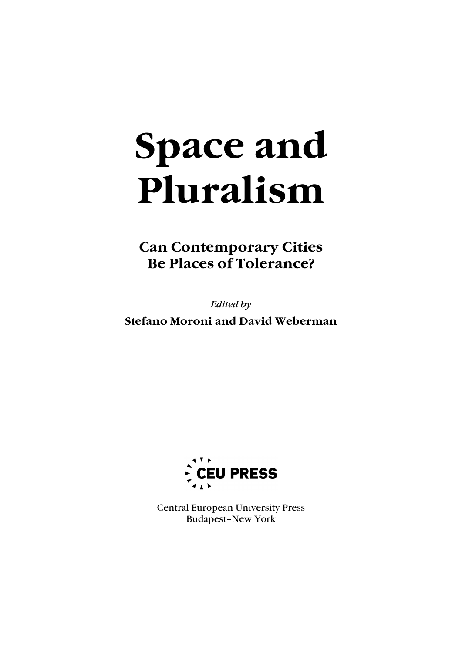# **Space and Pluralism**

**Can Contemporary Cities Be Places of Tolerance?**

*Edited by* 

**Stefano Moroni and David Weberman**



Central European University Press Budapest–New York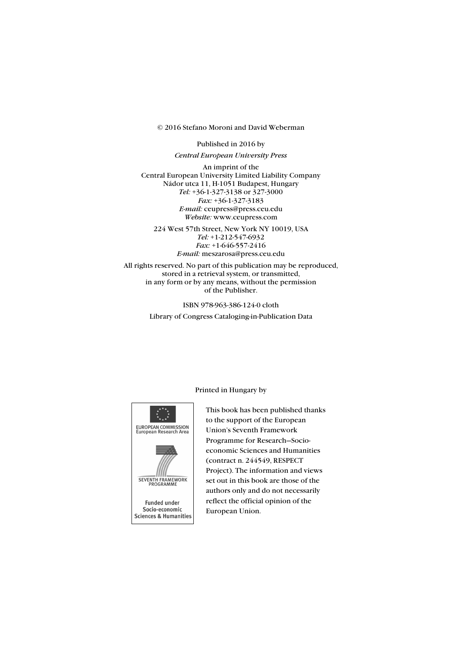© 2016 Stefano Moroni and David Weberman

Published in 2016 by

*Central European University Press* 

An imprint of the Central European University Limited Liability Company Nádor utca 11, H-1051 Budapest, Hungary *Tel:* +36-1-327-3138 or 327-3000 *Fax:* +36-1-327-3183 *E-mail:* ceupress@press.ceu.edu *Website:* www.ceupress.com

224 West 57th Street, New York NY 10019, USA *Tel:* +1-212-547-6932 *Fax:* +1-646-557-2416 *E-mail:* meszarosa@press.ceu.edu

All rights reserved. No part of this publication may be reproduced, stored in a retrieval system, or transmitted, in any form or by any means, without the permission of the Publisher.

> ISBN 978-963-386-124-0 cloth Library of Congress Cataloging-in-Publication Data



Printed in Hungary by

This book has been published thanks to the support of the European Union's Seventh Framework Programme for Research—Socioeconomic Sciences and Humanities (contract n. 244549, RESPECT Project). The information and views set out in this book are those of the authors only and do not necessarily reflect the official opinion of the European Union.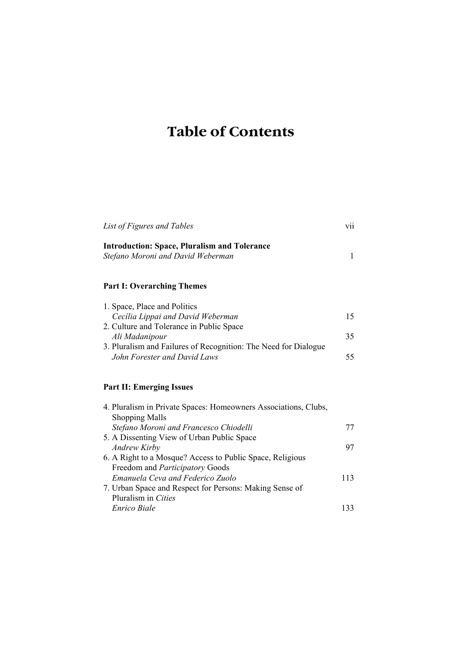## **Table of Contents**

| List of Figures and Tables                                                                      | vii |
|-------------------------------------------------------------------------------------------------|-----|
| <b>Introduction: Space, Pluralism and Tolerance</b><br>Stefano Moroni and David Weberman        | 1   |
| <b>Part I: Overarching Themes</b>                                                               |     |
| 1. Space, Place and Politics                                                                    |     |
| Cecilia Lippai and David Weberman                                                               | 15  |
| 2. Culture and Tolerance in Public Space<br>Ali Madanipour                                      | 35  |
| 3. Pluralism and Failures of Recognition: The Need for Dialogue<br>John Forester and David Laws | 55  |
| <b>Part II: Emerging Issues</b>                                                                 |     |
| 4. Pluralism in Private Spaces: Homeowners Associations, Clubs,<br><b>Shopping Malls</b>        |     |
| Stefano Moroni and Francesco Chiodelli                                                          | 77  |
| 5. A Dissenting View of Urban Public Space                                                      |     |
| <b>Andrew Kirby</b>                                                                             | 97  |

| $1111001$ $011110$                                        |      |
|-----------------------------------------------------------|------|
| 6. A Right to a Mosque? Access to Public Space, Religious |      |
| Freedom and <i>Participatory</i> Goods                    |      |
| Emanuela Ceva and Federico Zuolo                          | 113. |
| 7. Urban Space and Respect for Persons: Making Sense of   |      |
| Pluralism in Cities                                       |      |
| Enrico Biale                                              | 133. |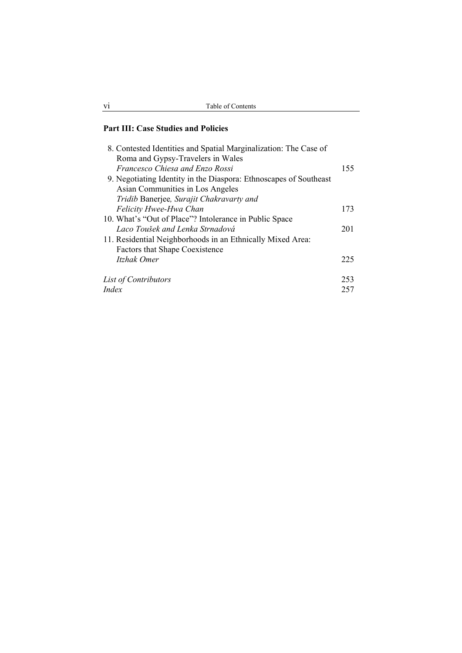| Table of Contents |
|-------------------|
|                   |

#### **Part III: Case Studies and Policies**

| 8. Contested Identities and Spatial Marginalization: The Case of  |     |
|-------------------------------------------------------------------|-----|
| Roma and Gypsy-Travelers in Wales                                 |     |
| Francesco Chiesa and Enzo Rossi                                   | 155 |
| 9. Negotiating Identity in the Diaspora: Ethnoscapes of Southeast |     |
| Asian Communities in Los Angeles                                  |     |
| Tridib Banerjee, Surajit Chakravarty and                          |     |
| Felicity Hwee-Hwa Chan                                            | 173 |
| 10. What's "Out of Place"? Intolerance in Public Space            |     |
| Laco Toušek and Lenka Strnadová                                   | 201 |
| 11. Residential Neighborhoods in an Ethnically Mixed Area:        |     |
| Factors that Shape Coexistence                                    |     |
| Itzhak Omer                                                       | 225 |
| <i>List of Contributors</i>                                       | 253 |
| Index                                                             | 257 |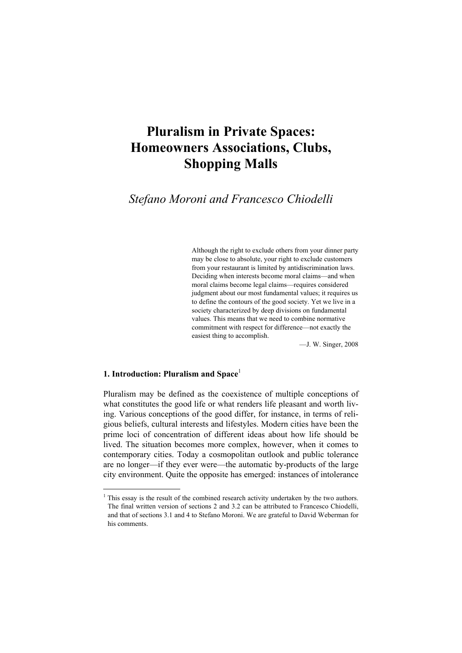## **Pluralism in Private Spaces: Homeowners Associations, Clubs, Shopping Malls**

### *Stefano Moroni and Francesco Chiodelli*

Although the right to exclude others from your dinner party may be close to absolute, your right to exclude customers from your restaurant is limited by antidiscrimination laws. Deciding when interests become moral claims—and when moral claims become legal claims—requires considered judgment about our most fundamental values; it requires us to define the contours of the good society. Yet we live in a society characterized by deep divisions on fundamental values. This means that we need to combine normative commitment with respect for difference—not exactly the easiest thing to accomplish.

—J. W. Singer, 2008

#### **1. Introduction: Pluralism and Space**<sup>1</sup>

 $\overline{a}$ 

Pluralism may be defined as the coexistence of multiple conceptions of what constitutes the good life or what renders life pleasant and worth living. Various conceptions of the good differ, for instance, in terms of religious beliefs, cultural interests and lifestyles. Modern cities have been the prime loci of concentration of different ideas about how life should be lived. The situation becomes more complex, however, when it comes to contemporary cities. Today a cosmopolitan outlook and public tolerance are no longer—if they ever were—the automatic by-products of the large city environment. Quite the opposite has emerged: instances of intolerance

 $<sup>1</sup>$  This essay is the result of the combined research activity undertaken by the two authors.</sup> The final written version of sections 2 and 3.2 can be attributed to Francesco Chiodelli, and that of sections 3.1 and 4 to Stefano Moroni. We are grateful to David Weberman for his comments.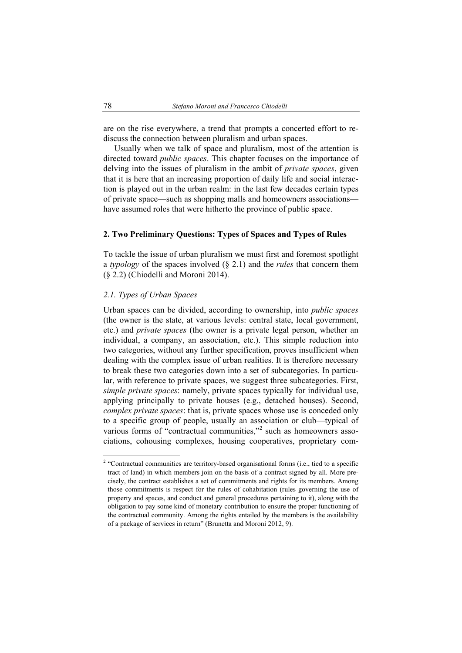are on the rise everywhere, a trend that prompts a concerted effort to rediscuss the connection between pluralism and urban spaces.

Usually when we talk of space and pluralism, most of the attention is directed toward *public spaces*. This chapter focuses on the importance of delving into the issues of pluralism in the ambit of *private spaces*, given that it is here that an increasing proportion of daily life and social interaction is played out in the urban realm: in the last few decades certain types of private space—such as shopping malls and homeowners associations have assumed roles that were hitherto the province of public space.

#### **2. Two Preliminary Questions: Types of Spaces and Types of Rules**

To tackle the issue of urban pluralism we must first and foremost spotlight a *typology* of the spaces involved (§ 2.1) and the *rules* that concern them (§ 2.2) (Chiodelli and Moroni 2014).

#### *2.1. Types of Urban Spaces*

Urban spaces can be divided, according to ownership, into *public spaces* (the owner is the state, at various levels: central state, local government, etc.) and *private spaces* (the owner is a private legal person, whether an individual, a company, an association, etc.). This simple reduction into two categories, without any further specification, proves insufficient when dealing with the complex issue of urban realities. It is therefore necessary to break these two categories down into a set of subcategories. In particular, with reference to private spaces, we suggest three subcategories. First, *simple private spaces*: namely, private spaces typically for individual use, applying principally to private houses (e.g., detached houses). Second, *complex private spaces*: that is, private spaces whose use is conceded only to a specific group of people, usually an association or club—typical of various forms of "contractual communities,"<sup>2</sup> such as homeowners associations, cohousing complexes, housing cooperatives, proprietary com-

 $2$  "Contractual communities are territory-based organisational forms (i.e., tied to a specific tract of land) in which members join on the basis of a contract signed by all. More precisely, the contract establishes a set of commitments and rights for its members. Among those commitments is respect for the rules of cohabitation (rules governing the use of property and spaces, and conduct and general procedures pertaining to it), along with the obligation to pay some kind of monetary contribution to ensure the proper functioning of the contractual community. Among the rights entailed by the members is the availability of a package of services in return" (Brunetta and Moroni 2012, 9).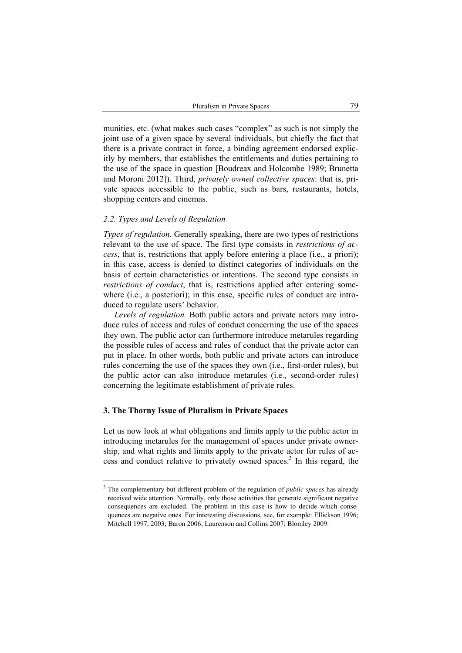munities, etc. (what makes such cases "complex" as such is not simply the joint use of a given space by several individuals, but chiefly the fact that there is a private contract in force, a binding agreement endorsed explicitly by members, that establishes the entitlements and duties pertaining to the use of the space in question [Boudreax and Holcombe 1989; Brunetta and Moroni 2012]). Third, *privately owned collective spaces*: that is, private spaces accessible to the public, such as bars, restaurants, hotels, shopping centers and cinemas.

#### *2.2. Types and Levels of Regulation*

*Types of regulation.* Generally speaking, there are two types of restrictions relevant to the use of space. The first type consists in *restrictions of access*, that is, restrictions that apply before entering a place (i.e., a priori); in this case, access is denied to distinct categories of individuals on the basis of certain characteristics or intentions. The second type consists in *restrictions of conduct*, that is, restrictions applied after entering somewhere (i.e., a posteriori); in this case, specific rules of conduct are introduced to regulate users' behavior.

*Levels of regulation.* Both public actors and private actors may introduce rules of access and rules of conduct concerning the use of the spaces they own. The public actor can furthermore introduce metarules regarding the possible rules of access and rules of conduct that the private actor can put in place. In other words, both public and private actors can introduce rules concerning the use of the spaces they own (i.e., first-order rules), but the public actor can also introduce metarules (i.e., second-order rules) concerning the legitimate establishment of private rules.

#### **3. The Thorny Issue of Pluralism in Private Spaces**

 $\overline{a}$ 

Let us now look at what obligations and limits apply to the public actor in introducing metarules for the management of spaces under private ownership, and what rights and limits apply to the private actor for rules of access and conduct relative to privately owned spaces.<sup>3</sup> In this regard, the

<sup>3</sup> The complementary but different problem of the regulation of *public spaces* has already received wide attention. Normally, only those activities that generate significant negative consequences are excluded. The problem in this case is how to decide which consequences are negative ones. For interesting discussions, see, for example: Ellickson 1996; Mitchell 1997, 2003; Baron 2006; Laurenson and Collins 2007; Blomley 2009.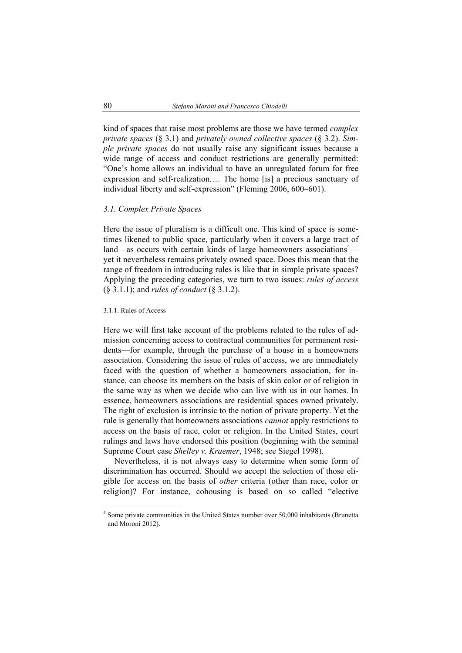kind of spaces that raise most problems are those we have termed *complex private spaces* (§ 3.1) and *privately owned collective spaces* (§ 3.2). *Simple private spaces* do not usually raise any significant issues because a wide range of access and conduct restrictions are generally permitted: "One's home allows an individual to have an unregulated forum for free expression and self-realization.… The home [is] a precious sanctuary of individual liberty and self-expression" (Fleming 2006, 600–601).

#### *3.1. Complex Private Spaces*

Here the issue of pluralism is a difficult one. This kind of space is sometimes likened to public space, particularly when it covers a large tract of land—as occurs with certain kinds of large homeowners associations<sup>4</sup> yet it nevertheless remains privately owned space. Does this mean that the range of freedom in introducing rules is like that in simple private spaces? Applying the preceding categories, we turn to two issues: *rules of access* (§ 3.1.1); and *rules of conduct* (§ 3.1.2).

#### 3.1.1. Rules of Access

 $\overline{a}$ 

Here we will first take account of the problems related to the rules of admission concerning access to contractual communities for permanent residents—for example, through the purchase of a house in a homeowners association. Considering the issue of rules of access, we are immediately faced with the question of whether a homeowners association, for instance, can choose its members on the basis of skin color or of religion in the same way as when we decide who can live with us in our homes. In essence, homeowners associations are residential spaces owned privately. The right of exclusion is intrinsic to the notion of private property. Yet the rule is generally that homeowners associations *cannot* apply restrictions to access on the basis of race, color or religion. In the United States, court rulings and laws have endorsed this position (beginning with the seminal Supreme Court case *Shelley v. Kraemer*, 1948; see Siegel 1998).

Nevertheless, it is not always easy to determine when some form of discrimination has occurred. Should we accept the selection of those eligible for access on the basis of *other* criteria (other than race, color or religion)? For instance, cohousing is based on so called "elective

<sup>&</sup>lt;sup>4</sup> Some private communities in the United States number over 50,000 inhabitants (Brunetta and Moroni 2012).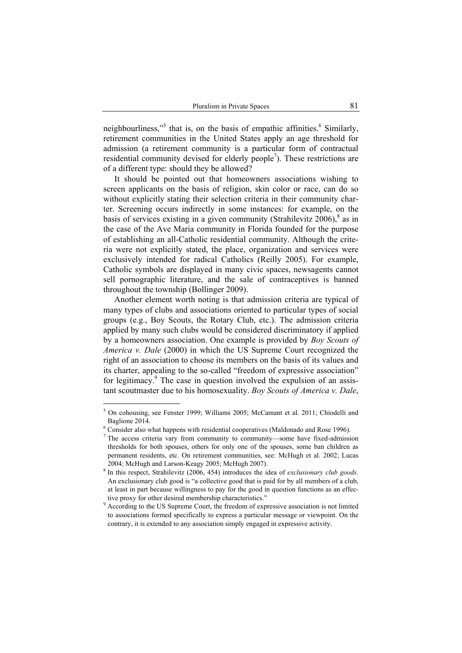neighbourliness,"<sup>5</sup> that is, on the basis of empathic affinities.<sup>6</sup> Similarly, retirement communities in the United States apply an age threshold for admission (a retirement community is a particular form of contractual residential community devised for elderly people<sup>7</sup>). These restrictions are of a different type: should they be allowed?

It should be pointed out that homeowners associations wishing to screen applicants on the basis of religion, skin color or race, can do so without explicitly stating their selection criteria in their community charter. Screening occurs indirectly in some instances: for example, on the basis of services existing in a given community (Strahilevitz  $2006$ ),  $8$  as in the case of the Ave Maria community in Florida founded for the purpose of establishing an all-Catholic residential community. Although the criteria were not explicitly stated, the place, organization and services were exclusively intended for radical Catholics (Reilly 2005). For example, Catholic symbols are displayed in many civic spaces, newsagents cannot sell pornographic literature, and the sale of contraceptives is banned throughout the township (Bollinger 2009).

Another element worth noting is that admission criteria are typical of many types of clubs and associations oriented to particular types of social groups (e.g., Boy Scouts, the Rotary Club, etc.). The admission criteria applied by many such clubs would be considered discriminatory if applied by a homeowners association. One example is provided by *Boy Scouts of America v. Dale* (2000) in which the US Supreme Court recognized the right of an association to choose its members on the basis of its values and its charter, appealing to the so-called "freedom of expressive association" for legitimacy.<sup>9</sup> The case in question involved the expulsion of an assistant scoutmaster due to his homosexuality. *Boy Scouts of America v. Dale*,

<sup>&</sup>lt;sup>5</sup> On cohousing, see Fenster 1999; Williams 2005; McCamant et al. 2011; Chiodelli and Baglione 2014.

 $^6$  Consider also what happens with residential cooperatives (Maldonado and Rose 1996).

 $7$  The access criteria vary from community to community—some have fixed-admission thresholds for both spouses, others for only one of the spouses, some ban children as permanent residents, etc. On retirement communities, see: McHugh et al. 2002; Lucas 2004; McHugh and Larson-Keagy 2005; McHugh 2007).

<sup>8</sup> In this respect, Strahilevitz (2006, 454) introduces the idea of *exclusionary club goods*. An exclusionary club good is "a collective good that is paid for by all members of a club, at least in part because willingness to pay for the good in question functions as an effective proxy for other desired membership characteristics."

<sup>&</sup>lt;sup>9</sup> According to the US Supreme Court, the freedom of expressive association is not limited to associations formed specifically to express a particular message or viewpoint. On the contrary, it is extended to any association simply engaged in expressive activity.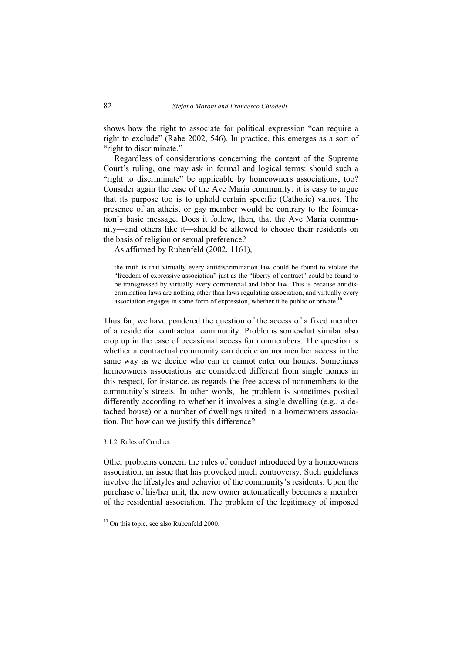shows how the right to associate for political expression "can require a right to exclude" (Rahe 2002, 546). In practice, this emerges as a sort of "right to discriminate."

Regardless of considerations concerning the content of the Supreme Court's ruling, one may ask in formal and logical terms: should such a "right to discriminate" be applicable by homeowners associations, too? Consider again the case of the Ave Maria community: it is easy to argue that its purpose too is to uphold certain specific (Catholic) values. The presence of an atheist or gay member would be contrary to the foundation's basic message. Does it follow, then, that the Ave Maria community—and others like it—should be allowed to choose their residents on the basis of religion or sexual preference?

As affirmed by Rubenfeld (2002, 1161),

the truth is that virtually every antidiscrimination law could be found to violate the "freedom of expressive association" just as the "liberty of contract" could be found to be transgressed by virtually every commercial and labor law. This is because antidiscrimination laws are nothing other than laws regulating association, and virtually every association engages in some form of expression, whether it be public or private.<sup>1</sup>

Thus far, we have pondered the question of the access of a fixed member of a residential contractual community. Problems somewhat similar also crop up in the case of occasional access for nonmembers. The question is whether a contractual community can decide on nonmember access in the same way as we decide who can or cannot enter our homes. Sometimes homeowners associations are considered different from single homes in this respect, for instance, as regards the free access of nonmembers to the community's streets. In other words, the problem is sometimes posited differently according to whether it involves a single dwelling (e.g., a detached house) or a number of dwellings united in a homeowners association. But how can we justify this difference?

3.1.2. Rules of Conduct

 $\overline{a}$ 

Other problems concern the rules of conduct introduced by a homeowners association, an issue that has provoked much controversy. Such guidelines involve the lifestyles and behavior of the community's residents. Upon the purchase of his/her unit, the new owner automatically becomes a member of the residential association. The problem of the legitimacy of imposed

<sup>&</sup>lt;sup>10</sup> On this topic, see also Rubenfeld 2000.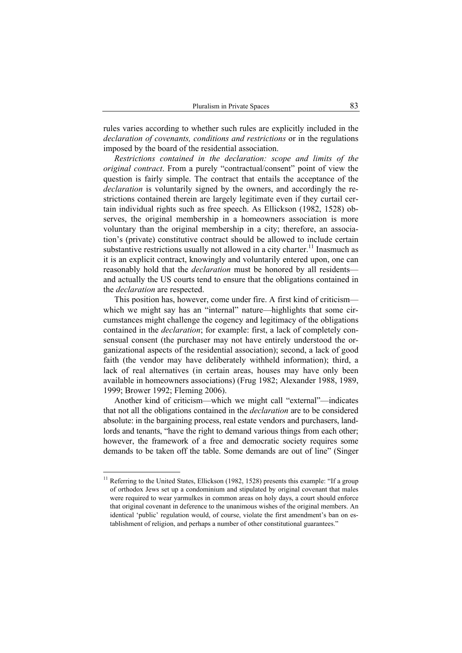rules varies according to whether such rules are explicitly included in the *declaration of covenants, conditions and restrictions* or in the regulations imposed by the board of the residential association.

*Restrictions contained in the declaration: scope and limits of the original contract*. From a purely "contractual/consent" point of view the question is fairly simple. The contract that entails the acceptance of the *declaration* is voluntarily signed by the owners, and accordingly the restrictions contained therein are largely legitimate even if they curtail certain individual rights such as free speech. As Ellickson (1982, 1528) observes, the original membership in a homeowners association is more voluntary than the original membership in a city; therefore, an association's (private) constitutive contract should be allowed to include certain substantive restrictions usually not allowed in a city charter.<sup>11</sup> Inasmuch as it is an explicit contract, knowingly and voluntarily entered upon, one can reasonably hold that the *declaration* must be honored by all residents and actually the US courts tend to ensure that the obligations contained in the *declaration* are respected.

This position has, however, come under fire. A first kind of criticism which we might say has an "internal" nature—highlights that some circumstances might challenge the cogency and legitimacy of the obligations contained in the *declaration*; for example: first, a lack of completely consensual consent (the purchaser may not have entirely understood the organizational aspects of the residential association); second, a lack of good faith (the vendor may have deliberately withheld information); third, a lack of real alternatives (in certain areas, houses may have only been available in homeowners associations) (Frug 1982; Alexander 1988, 1989, 1999; Brower 1992; Fleming 2006).

Another kind of criticism—which we might call "external"—indicates that not all the obligations contained in the *declaration* are to be considered absolute: in the bargaining process, real estate vendors and purchasers, landlords and tenants, "have the right to demand various things from each other; however, the framework of a free and democratic society requires some demands to be taken off the table. Some demands are out of line" (Singer

<sup>&</sup>lt;sup>11</sup> Referring to the United States, Ellickson (1982, 1528) presents this example: "If a group of orthodox Jews set up a condominium and stipulated by original covenant that males were required to wear yarmulkes in common areas on holy days, a court should enforce that original covenant in deference to the unanimous wishes of the original members. An identical 'public' regulation would, of course, violate the first amendment's ban on establishment of religion, and perhaps a number of other constitutional guarantees."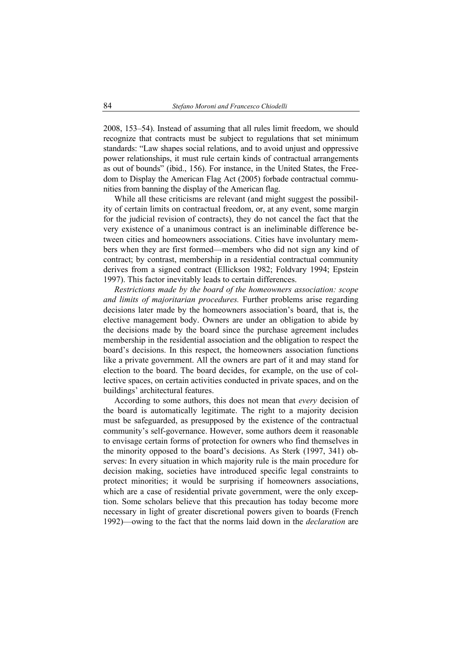2008, 153–54). Instead of assuming that all rules limit freedom, we should recognize that contracts must be subject to regulations that set minimum standards: "Law shapes social relations, and to avoid unjust and oppressive power relationships, it must rule certain kinds of contractual arrangements as out of bounds" (ibid., 156). For instance, in the United States, the Freedom to Display the American Flag Act (2005) forbade contractual communities from banning the display of the American flag.

While all these criticisms are relevant (and might suggest the possibility of certain limits on contractual freedom, or, at any event, some margin for the judicial revision of contracts), they do not cancel the fact that the very existence of a unanimous contract is an ineliminable difference between cities and homeowners associations. Cities have involuntary members when they are first formed—members who did not sign any kind of contract; by contrast, membership in a residential contractual community derives from a signed contract (Ellickson 1982; Foldvary 1994; Epstein 1997). This factor inevitably leads to certain differences.

*Restrictions made by the board of the homeowners association: scope and limits of majoritarian procedures.* Further problems arise regarding decisions later made by the homeowners association's board, that is, the elective management body. Owners are under an obligation to abide by the decisions made by the board since the purchase agreement includes membership in the residential association and the obligation to respect the board's decisions. In this respect, the homeowners association functions like a private government. All the owners are part of it and may stand for election to the board. The board decides, for example, on the use of collective spaces, on certain activities conducted in private spaces, and on the buildings' architectural features.

According to some authors, this does not mean that *every* decision of the board is automatically legitimate. The right to a majority decision must be safeguarded, as presupposed by the existence of the contractual community's self-governance. However, some authors deem it reasonable to envisage certain forms of protection for owners who find themselves in the minority opposed to the board's decisions. As Sterk (1997, 341) observes: In every situation in which majority rule is the main procedure for decision making, societies have introduced specific legal constraints to protect minorities; it would be surprising if homeowners associations, which are a case of residential private government, were the only exception. Some scholars believe that this precaution has today become more necessary in light of greater discretional powers given to boards (French 1992)—owing to the fact that the norms laid down in the *declaration* are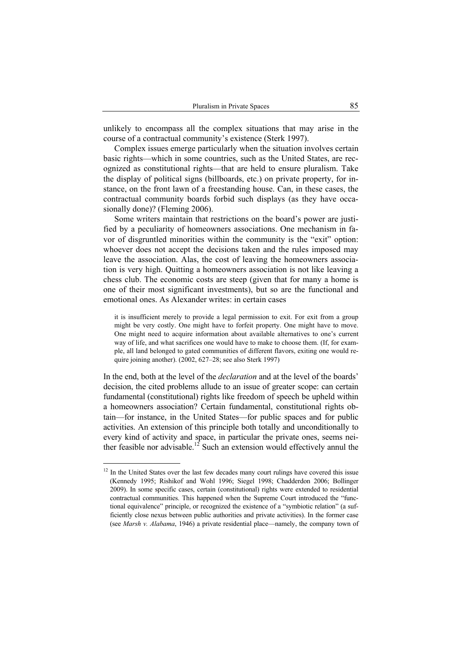unlikely to encompass all the complex situations that may arise in the course of a contractual community's existence (Sterk 1997).

Complex issues emerge particularly when the situation involves certain basic rights—which in some countries, such as the United States, are recognized as constitutional rights—that are held to ensure pluralism. Take the display of political signs (billboards, etc.) on private property, for instance, on the front lawn of a freestanding house. Can, in these cases, the contractual community boards forbid such displays (as they have occasionally done)? (Fleming 2006).

Some writers maintain that restrictions on the board's power are justified by a peculiarity of homeowners associations. One mechanism in favor of disgruntled minorities within the community is the "exit" option: whoever does not accept the decisions taken and the rules imposed may leave the association. Alas, the cost of leaving the homeowners association is very high. Quitting a homeowners association is not like leaving a chess club. The economic costs are steep (given that for many a home is one of their most significant investments), but so are the functional and emotional ones. As Alexander writes: in certain cases

it is insufficient merely to provide a legal permission to exit. For exit from a group might be very costly. One might have to forfeit property. One might have to move. One might need to acquire information about available alternatives to one's current way of life, and what sacrifices one would have to make to choose them. (If, for example, all land belonged to gated communities of different flavors, exiting one would require joining another). (2002, 627–28; see also Sterk 1997)

In the end, both at the level of the *declaration* and at the level of the boards' decision, the cited problems allude to an issue of greater scope: can certain fundamental (constitutional) rights like freedom of speech be upheld within a homeowners association? Certain fundamental, constitutional rights obtain—for instance, in the United States—for public spaces and for public activities. An extension of this principle both totally and unconditionally to every kind of activity and space, in particular the private ones, seems neither feasible nor advisable.<sup>12</sup> Such an extension would effectively annul the

 $12$  In the United States over the last few decades many court rulings have covered this issue (Kennedy 1995; Rishikof and Wohl 1996; Siegel 1998; Chadderdon 2006; Bollinger 2009). In some specific cases, certain (constitutional) rights were extended to residential contractual communities. This happened when the Supreme Court introduced the "functional equivalence" principle, or recognized the existence of a "symbiotic relation" (a sufficiently close nexus between public authorities and private activities). In the former case (see *Marsh v. Alabama*, 1946) a private residential place—namely, the company town of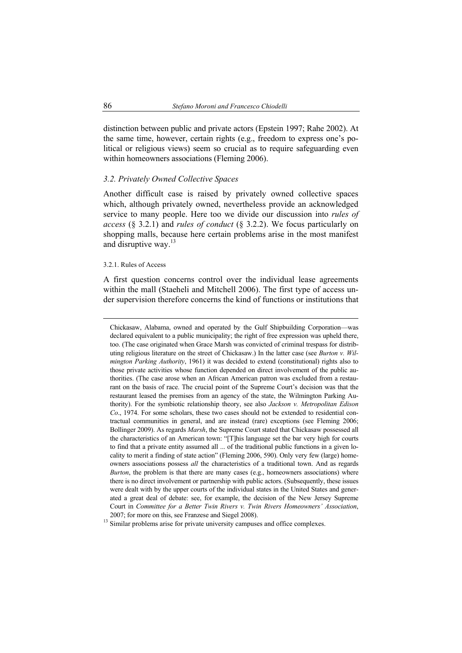distinction between public and private actors (Epstein 1997; Rahe 2002). At the same time, however, certain rights (e.g., freedom to express one's political or religious views) seem so crucial as to require safeguarding even within homeowners associations (Fleming 2006).

#### *3.2. Privately Owned Collective Spaces*

Another difficult case is raised by privately owned collective spaces which, although privately owned, nevertheless provide an acknowledged service to many people. Here too we divide our discussion into *rules of access* (§ 3.2.1) and *rules of conduct* (§ 3.2.2). We focus particularly on shopping malls, because here certain problems arise in the most manifest and disruptive way.<sup>13</sup>

#### 3.2.1. Rules of Access

 $\overline{a}$ 

A first question concerns control over the individual lease agreements within the mall (Staeheli and Mitchell 2006). The first type of access under supervision therefore concerns the kind of functions or institutions that

2007; for more on this, see Franzese and Siegel 2008).<br><sup>13</sup> Similar problems arise for private university campuses and office complexes.

Chickasaw, Alabama, owned and operated by the Gulf Shipbuilding Corporation—was declared equivalent to a public municipality; the right of free expression was upheld there, too. (The case originated when Grace Marsh was convicted of criminal trespass for distributing religious literature on the street of Chickasaw.) In the latter case (see *Burton v. Wilmington Parking Authority*, 1961) it was decided to extend (constitutional) rights also to those private activities whose function depended on direct involvement of the public authorities. (The case arose when an African American patron was excluded from a restaurant on the basis of race. The crucial point of the Supreme Court's decision was that the restaurant leased the premises from an agency of the state, the Wilmington Parking Authority). For the symbiotic relationship theory, see also *Jackson v. Metropolitan Edison Co*., 1974. For some scholars, these two cases should not be extended to residential contractual communities in general, and are instead (rare) exceptions (see Fleming 2006; Bollinger 2009). As regards *Marsh*, the Supreme Court stated that Chickasaw possessed all the characteristics of an American town: "[T]his language set the bar very high for courts to find that a private entity assumed all ... of the traditional public functions in a given locality to merit a finding of state action" (Fleming 2006, 590). Only very few (large) homeowners associations possess *all* the characteristics of a traditional town. And as regards *Burton*, the problem is that there are many cases (e.g., homeowners associations) where there is no direct involvement or partnership with public actors. (Subsequently, these issues were dealt with by the upper courts of the individual states in the United States and generated a great deal of debate: see, for example, the decision of the New Jersey Supreme Court in *Committee for a Better Twin Rivers v. Twin Rivers Homeowners' Association*,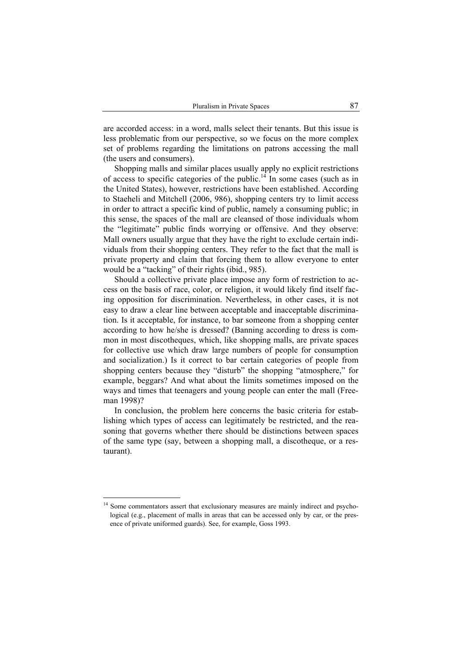are accorded access: in a word, malls select their tenants. But this issue is less problematic from our perspective, so we focus on the more complex set of problems regarding the limitations on patrons accessing the mall (the users and consumers).

Shopping malls and similar places usually apply no explicit restrictions of access to specific categories of the public.<sup>14</sup> In some cases (such as in the United States), however, restrictions have been established. According to Staeheli and Mitchell (2006, 986), shopping centers try to limit access in order to attract a specific kind of public, namely a consuming public; in this sense, the spaces of the mall are cleansed of those individuals whom the "legitimate" public finds worrying or offensive. And they observe: Mall owners usually argue that they have the right to exclude certain individuals from their shopping centers. They refer to the fact that the mall is private property and claim that forcing them to allow everyone to enter would be a "tacking" of their rights (ibid., 985).

Should a collective private place impose any form of restriction to access on the basis of race, color, or religion, it would likely find itself facing opposition for discrimination. Nevertheless, in other cases, it is not easy to draw a clear line between acceptable and inacceptable discrimination. Is it acceptable, for instance, to bar someone from a shopping center according to how he/she is dressed? (Banning according to dress is common in most discotheques, which, like shopping malls, are private spaces for collective use which draw large numbers of people for consumption and socialization.) Is it correct to bar certain categories of people from shopping centers because they "disturb" the shopping "atmosphere," for example, beggars? And what about the limits sometimes imposed on the ways and times that teenagers and young people can enter the mall (Freeman 1998)?

In conclusion, the problem here concerns the basic criteria for establishing which types of access can legitimately be restricted, and the reasoning that governs whether there should be distinctions between spaces of the same type (say, between a shopping mall, a discotheque, or a restaurant).

<sup>&</sup>lt;sup>14</sup> Some commentators assert that exclusionary measures are mainly indirect and psychological (e.g., placement of malls in areas that can be accessed only by car, or the presence of private uniformed guards). See, for example, Goss 1993.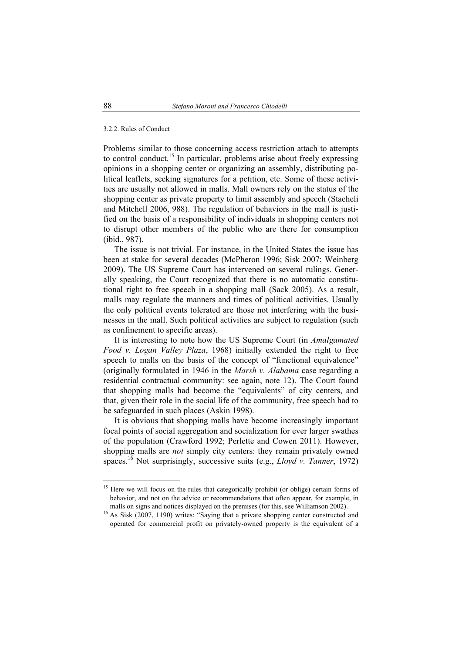#### 3.2.2. Rules of Conduct

Problems similar to those concerning access restriction attach to attempts to control conduct.15 In particular, problems arise about freely expressing opinions in a shopping center or organizing an assembly, distributing political leaflets, seeking signatures for a petition, etc. Some of these activities are usually not allowed in malls. Mall owners rely on the status of the shopping center as private property to limit assembly and speech (Staeheli and Mitchell 2006, 988). The regulation of behaviors in the mall is justified on the basis of a responsibility of individuals in shopping centers not to disrupt other members of the public who are there for consumption (ibid., 987).

The issue is not trivial. For instance, in the United States the issue has been at stake for several decades (McPheron 1996; Sisk 2007; Weinberg 2009). The US Supreme Court has intervened on several rulings. Generally speaking, the Court recognized that there is no automatic constitutional right to free speech in a shopping mall (Sack 2005). As a result, malls may regulate the manners and times of political activities. Usually the only political events tolerated are those not interfering with the businesses in the mall. Such political activities are subject to regulation (such as confinement to specific areas).

It is interesting to note how the US Supreme Court (in *Amalgamated Food v. Logan Valley Plaza*, 1968) initially extended the right to free speech to malls on the basis of the concept of "functional equivalence" (originally formulated in 1946 in the *Marsh v. Alabama* case regarding a residential contractual community: see again, note 12). The Court found that shopping malls had become the "equivalents" of city centers, and that, given their role in the social life of the community, free speech had to be safeguarded in such places (Askin 1998).

It is obvious that shopping malls have become increasingly important focal points of social aggregation and socialization for ever larger swathes of the population (Crawford 1992; Perlette and Cowen 2011). However, shopping malls are *not* simply city centers: they remain privately owned spaces.16 Not surprisingly, successive suits (e.g., *Lloyd v. Tanner*, 1972)

<sup>&</sup>lt;sup>15</sup> Here we will focus on the rules that categorically prohibit (or oblige) certain forms of behavior, and not on the advice or recommendations that often appear, for example, in

malls on signs and notices displayed on the premises (for this, see Williamson 2002).<br><sup>16</sup> As Sisk (2007, 1190) writes: "Saying that a private shopping center constructed and operated for commercial profit on privately-owned property is the equivalent of a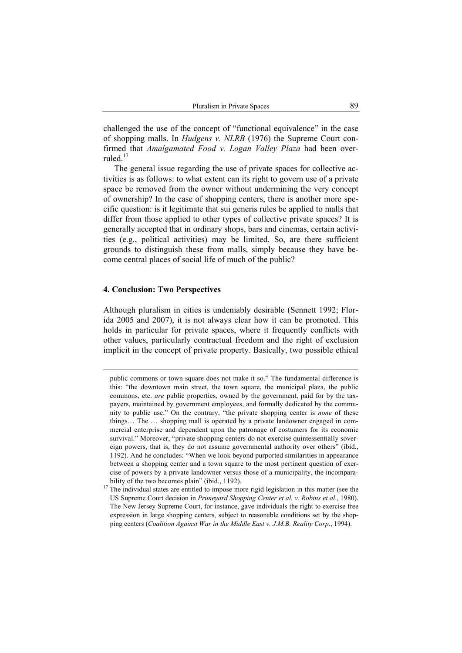challenged the use of the concept of "functional equivalence" in the case of shopping malls. In *Hudgens v. NLRB* (1976) the Supreme Court confirmed that *Amalgamated Food v. Logan Valley Plaza* had been overruled.17

The general issue regarding the use of private spaces for collective activities is as follows: to what extent can its right to govern use of a private space be removed from the owner without undermining the very concept of ownership? In the case of shopping centers, there is another more specific question: is it legitimate that sui generis rules be applied to malls that differ from those applied to other types of collective private spaces? It is generally accepted that in ordinary shops, bars and cinemas, certain activities (e.g., political activities) may be limited. So, are there sufficient grounds to distinguish these from malls, simply because they have become central places of social life of much of the public?

#### **4. Conclusion: Two Perspectives**

 $\overline{a}$ 

Although pluralism in cities is undeniably desirable (Sennett 1992; Florida 2005 and 2007), it is not always clear how it can be promoted. This holds in particular for private spaces, where it frequently conflicts with other values, particularly contractual freedom and the right of exclusion implicit in the concept of private property. Basically, two possible ethical

public commons or town square does not make it so." The fundamental difference is this: "the downtown main street, the town square, the municipal plaza, the public commons, etc. *are* public properties, owned by the government, paid for by the taxpayers, maintained by government employees, and formally dedicated by the community to public use." On the contrary, "the private shopping center is *none* of these things… The … shopping mall is operated by a private landowner engaged in commercial enterprise and dependent upon the patronage of costumers for its economic survival." Moreover, "private shopping centers do not exercise quintessentially sovereign powers, that is, they do not assume governmental authority over others" (ibid., 1192). And he concludes: "When we look beyond purported similarities in appearance between a shopping center and a town square to the most pertinent question of exercise of powers by a private landowner versus those of a municipality, the incomparability of the two becomes plain" (ibid., 1192).<br>The individual states are entitled to impose more rigid legislation in this matter (see the

US Supreme Court decision in *Pruneyard Shopping Center et al. v. Robins et al.*, 1980). The New Jersey Supreme Court, for instance, gave individuals the right to exercise free expression in large shopping centers, subject to reasonable conditions set by the shopping centers (*Coalition Against War in the Middle East v. J.M.B. Reality Corp*., 1994).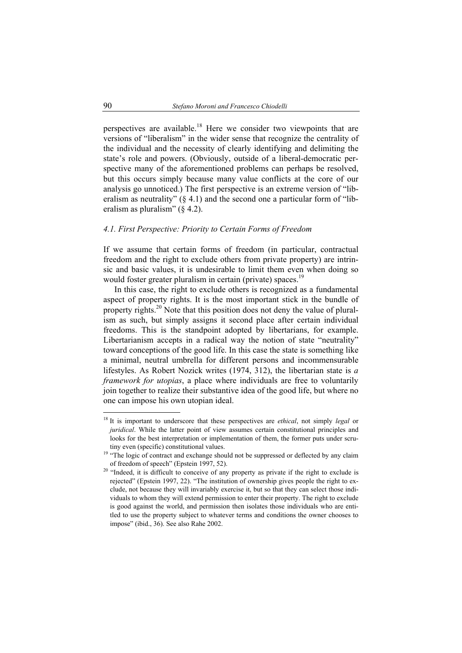perspectives are available.18 Here we consider two viewpoints that are versions of "liberalism" in the wider sense that recognize the centrality of the individual and the necessity of clearly identifying and delimiting the state's role and powers. (Obviously, outside of a liberal-democratic perspective many of the aforementioned problems can perhaps be resolved, but this occurs simply because many value conflicts at the core of our analysis go unnoticed.) The first perspective is an extreme version of "liberalism as neutrality"  $(\S 4.1)$  and the second one a particular form of "liberalism as pluralism" (§ 4.2).

#### *4.1. First Perspective: Priority to Certain Forms of Freedom*

If we assume that certain forms of freedom (in particular, contractual freedom and the right to exclude others from private property) are intrinsic and basic values, it is undesirable to limit them even when doing so would foster greater pluralism in certain (private) spaces.<sup>19</sup>

In this case, the right to exclude others is recognized as a fundamental aspect of property rights. It is the most important stick in the bundle of property rights.<sup>20</sup> Note that this position does not deny the value of pluralism as such, but simply assigns it second place after certain individual freedoms. This is the standpoint adopted by libertarians, for example. Libertarianism accepts in a radical way the notion of state "neutrality" toward conceptions of the good life. In this case the state is something like a minimal, neutral umbrella for different persons and incommensurable lifestyles. As Robert Nozick writes (1974, 312), the libertarian state is *a framework for utopias*, a place where individuals are free to voluntarily join together to realize their substantive idea of the good life, but where no one can impose his own utopian ideal.

<sup>18</sup> It is important to underscore that these perspectives are *ethical*, not simply *legal* or *juridical*. While the latter point of view assumes certain constitutional principles and looks for the best interpretation or implementation of them, the former puts under scrutiny even (specific) constitutional values.<br><sup>19</sup> "The logic of contract and exchange should not be suppressed or deflected by any claim

of freedom of speech" (Epstein 1997, 52).<br><sup>20</sup> "Indeed, it is difficult to conceive of any property as private if the right to exclude is

rejected" (Epstein 1997, 22). "The institution of ownership gives people the right to exclude, not because they will invariably exercise it, but so that they can select those individuals to whom they will extend permission to enter their property. The right to exclude is good against the world, and permission then isolates those individuals who are entitled to use the property subject to whatever terms and conditions the owner chooses to impose" (ibid., 36). See also Rahe 2002.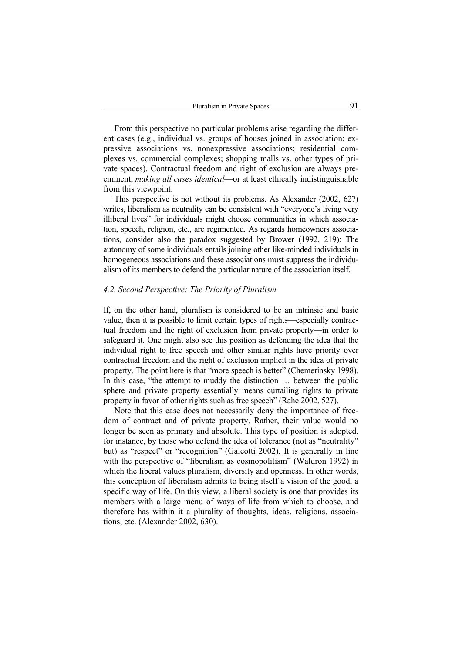From this perspective no particular problems arise regarding the different cases (e.g., individual vs. groups of houses joined in association; expressive associations vs. nonexpressive associations; residential complexes vs. commercial complexes; shopping malls vs. other types of private spaces). Contractual freedom and right of exclusion are always preeminent, *making all cases identical*—or at least ethically indistinguishable from this viewpoint.

This perspective is not without its problems. As Alexander (2002, 627) writes, liberalism as neutrality can be consistent with "everyone's living very illiberal lives" for individuals might choose communities in which association, speech, religion, etc., are regimented. As regards homeowners associations, consider also the paradox suggested by Brower (1992, 219): The autonomy of some individuals entails joining other like-minded individuals in homogeneous associations and these associations must suppress the individualism of its members to defend the particular nature of the association itself.

#### *4.2. Second Perspective: The Priority of Pluralism*

If, on the other hand, pluralism is considered to be an intrinsic and basic value, then it is possible to limit certain types of rights—especially contractual freedom and the right of exclusion from private property—in order to safeguard it. One might also see this position as defending the idea that the individual right to free speech and other similar rights have priority over contractual freedom and the right of exclusion implicit in the idea of private property. The point here is that "more speech is better" (Chemerinsky 1998). In this case, "the attempt to muddy the distinction … between the public sphere and private property essentially means curtailing rights to private property in favor of other rights such as free speech" (Rahe 2002, 527).

Note that this case does not necessarily deny the importance of freedom of contract and of private property. Rather, their value would no longer be seen as primary and absolute. This type of position is adopted, for instance, by those who defend the idea of tolerance (not as "neutrality" but) as "respect" or "recognition" (Galeotti 2002). It is generally in line with the perspective of "liberalism as cosmopolitism" (Waldron 1992) in which the liberal values pluralism, diversity and openness. In other words, this conception of liberalism admits to being itself a vision of the good, a specific way of life. On this view, a liberal society is one that provides its members with a large menu of ways of life from which to choose, and therefore has within it a plurality of thoughts, ideas, religions, associations, etc. (Alexander 2002, 630).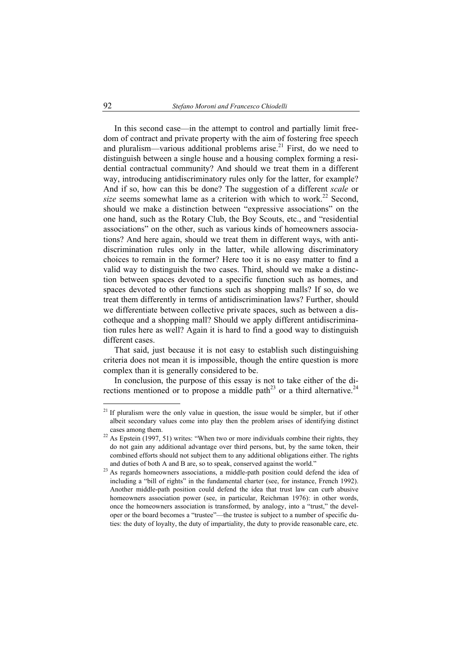In this second case—in the attempt to control and partially limit freedom of contract and private property with the aim of fostering free speech and pluralism—various additional problems arise. $^{21}$  First, do we need to distinguish between a single house and a housing complex forming a residential contractual community? And should we treat them in a different way, introducing antidiscriminatory rules only for the latter, for example? And if so, how can this be done? The suggestion of a different *scale* or *size* seems somewhat lame as a criterion with which to work.<sup>22</sup> Second, should we make a distinction between "expressive associations" on the one hand, such as the Rotary Club, the Boy Scouts, etc., and "residential associations" on the other, such as various kinds of homeowners associations? And here again, should we treat them in different ways, with antidiscrimination rules only in the latter, while allowing discriminatory choices to remain in the former? Here too it is no easy matter to find a valid way to distinguish the two cases. Third, should we make a distinction between spaces devoted to a specific function such as homes, and spaces devoted to other functions such as shopping malls? If so, do we treat them differently in terms of antidiscrimination laws? Further, should we differentiate between collective private spaces, such as between a discotheque and a shopping mall? Should we apply different antidiscrimination rules here as well? Again it is hard to find a good way to distinguish different cases.

That said, just because it is not easy to establish such distinguishing criteria does not mean it is impossible, though the entire question is more complex than it is generally considered to be.

In conclusion, the purpose of this essay is not to take either of the directions mentioned or to propose a middle path<sup>23</sup> or a third alternative.<sup>24</sup>

<sup>&</sup>lt;sup>21</sup> If pluralism were the only value in question, the issue would be simpler, but if other albeit secondary values come into play then the problem arises of identifying distinct

cases among them.<br><sup>22</sup> As Epstein (1997, 51) writes: "When two or more individuals combine their rights, they do not gain any additional advantage over third persons, but, by the same token, their combined efforts should not subject them to any additional obligations either. The rights and duties of both A and B are, so to speak, conserved against the world." 23 As regards homeowners associations, a middle-path position could defend the idea of

including a "bill of rights" in the fundamental charter (see, for instance, French 1992). Another middle-path position could defend the idea that trust law can curb abusive homeowners association power (see, in particular, Reichman 1976): in other words, once the homeowners association is transformed, by analogy, into a "trust," the developer or the board becomes a "trustee"—the trustee is subject to a number of specific duties: the duty of loyalty, the duty of impartiality, the duty to provide reasonable care, etc.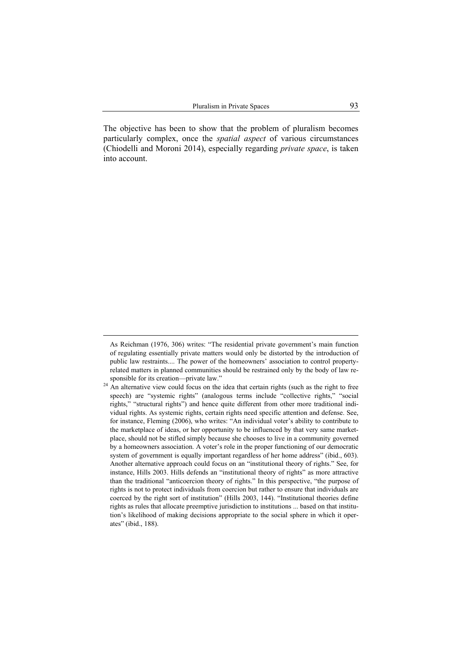The objective has been to show that the problem of pluralism becomes particularly complex, once the *spatial aspect* of various circumstances (Chiodelli and Moroni 2014), especially regarding *private space*, is taken into account.

As Reichman (1976, 306) writes: "The residential private government's main function of regulating essentially private matters would only be distorted by the introduction of public law restraints.... The power of the homeowners' association to control propertyrelated matters in planned communities should be restrained only by the body of law re-

sponsible for its creation—private law." <sup>24</sup> An alternative view could focus on the idea that certain rights (such as the right to free speech) are "systemic rights" (analogous terms include "collective rights," "social rights," "structural rights") and hence quite different from other more traditional individual rights. As systemic rights, certain rights need specific attention and defense. See, for instance, Fleming (2006), who writes: "An individual voter's ability to contribute to the marketplace of ideas, or her opportunity to be influenced by that very same marketplace, should not be stifled simply because she chooses to live in a community governed by a homeowners association. A voter's role in the proper functioning of our democratic system of government is equally important regardless of her home address" (ibid., 603). Another alternative approach could focus on an "institutional theory of rights." See, for instance, Hills 2003. Hills defends an "institutional theory of rights" as more attractive than the traditional "anticoercion theory of rights." In this perspective, "the purpose of rights is not to protect individuals from coercion but rather to ensure that individuals are coerced by the right sort of institution" (Hills 2003, 144). "Institutional theories define rights as rules that allocate preemptive jurisdiction to institutions ... based on that institution's likelihood of making decisions appropriate to the social sphere in which it operates" (ibid., 188).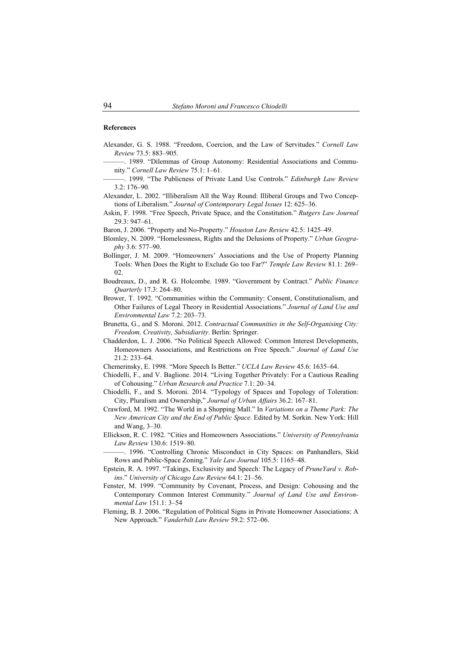#### **References**

- Alexander, G. S. 1988. "Freedom, Coercion, and the Law of Servitudes." *Cornell Law Review* 73.5: 883–905.
	- ———. 1989. "Dilemmas of Group Autonomy: Residential Associations and Community." *Cornell Law Review* 75.1: 1–61.
- ———. 1999. "The Publicness of Private Land Use Controls." *Edinburgh Law Review* 3.2: 176–90.
- Alexander, L. 2002. "Illiberalism All the Way Round: Illiberal Groups and Two Conceptions of Liberalism." *Journal of Contemporary Legal Issues* 12: 625–36.
- Askin, F. 1998. "Free Speech, Private Space, and the Constitution." *Rutgers Law Journal* 29.3: 947–61.
- Baron, J. 2006. "Property and No-Property." *Houston Law Review* 42.5: 1425–49.
- Blomley, N. 2009. "Homelessness, Rights and the Delusions of Property." *Urban Geography* 3.6: 577–90.
- Bollinger, J. M. 2009. "Homeowners' Associations and the Use of Property Planning Tools: When Does the Right to Exclude Go too Far?" *Temple Law Review* 81.1: 269–  $02.$
- Boudreaux, D., and R. G. Holcombe. 1989. "Government by Contract." *Public Finance Quarterly* 17.3: 264–80.
- Brower, T. 1992. "Communities within the Community: Consent, Constitutionalism, and Other Failures of Legal Theory in Residential Associations." *Journal of Land Use and Environmental Law* 7.2: 203–73.
- Brunetta, G., and S. Moroni. 2012. *Contractual Communities in the Self-Organising City: Freedom, Creativity, Subsidiarity*. Berlin: Springer.
- Chadderdon, L. J. 2006. "No Political Speech Allowed: Common Interest Developments, Homeowners Associations, and Restrictions on Free Speech." *Journal of Land Use* 21.2: 233–64.
- Chemerinsky, E. 1998. "More Speech Is Better." *UCLA Law Review* 45.6: 1635–64.
- Chiodelli, F., and V. Baglione. 2014. "Living Together Privately: For a Cautious Reading of Cohousing." *Urban Research and Practice* 7.1: 20–34.
- Chiodelli, F., and S. Moroni. 2014. "Typology of Spaces and Topology of Toleration: City, Pluralism and Ownership," *Journal of Urban Affairs* 36.2: 167–81.
- Crawford, M. 1992. "The World in a Shopping Mall." In *Variations on a Theme Park: The New American City and the End of Public Space*. Edited by M. Sorkin. New York: Hill and Wang, 3–30.
- Ellickson, R. C. 1982. "Cities and Homeowners Associations." *University of Pennsylvania Law Review* 130.6: 1519–80.
- -. 1996. "Controlling Chronic Misconduct in City Spaces: on Panhandlers, Skid Rows and Public-Space Zoning." *Yale Law Journal* 105.5: 1165–48.
- Epstein, R. A. 1997. "Takings, Exclusivity and Speech: The Legacy of *PruneYard v. Robins*." *University of Chicago Law Review* 64.1: 21–56.
- Fenster, M. 1999. "Community by Covenant, Process, and Design: Cohousing and the Contemporary Common Interest Community." *Journal of Land Use and Environmental Law* 151.1: 3–54
- Fleming, B. J. 2006. "Regulation of Political Signs in Private Homeowner Associations: A New Approach." *Vanderbilt Law Review* 59.2: 572–06.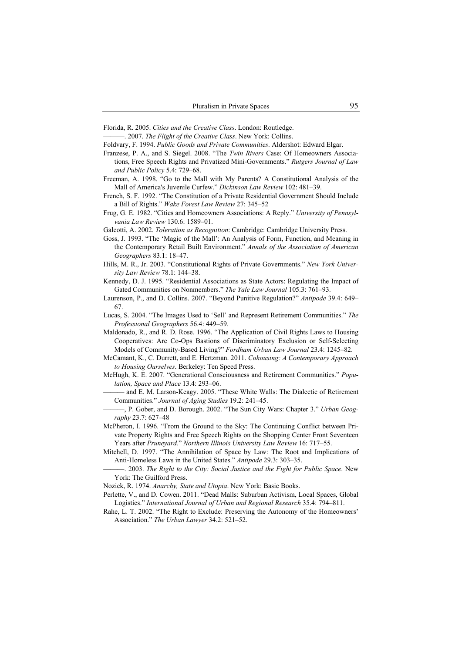Florida, R. 2005. *Cities and the Creative Class*. London: Routledge.

———. 2007. *The Flight of the Creative Class*. New York: Collins.

Foldvary, F. 1994. *Public Goods and Private Communities*. Aldershot: Edward Elgar.

- Franzese, P. A., and S. Siegel. 2008. "The *Twin Rivers* Case: Of Homeowners Associations, Free Speech Rights and Privatized Mini-Governments." *Rutgers Journal of Law and Public Policy* 5.4: 729–68.
- Freeman, A. 1998. "Go to the Mall with My Parents? A Constitutional Analysis of the Mall of America's Juvenile Curfew." *Dickinson Law Review* 102: 481–39.
- French, S. F. 1992. "The Constitution of a Private Residential Government Should Include a Bill of Rights." *Wake Forest Law Review* 27: 345–52
- Frug, G. E. 1982. "Cities and Homeowners Associations: A Reply." *University of Pennsylvania Law Review* 130.6: 1589–01.
- Galeotti, A. 2002. *Toleration as Recognition*: Cambridge: Cambridge University Press.
- Goss, J. 1993. "The 'Magic of the Mall': An Analysis of Form, Function, and Meaning in the Contemporary Retail Built Environment." *Annals of the Association of American Geographers* 83.1: 18–47.
- Hills, M. R., Jr. 2003. "Constitutional Rights of Private Governments." *New York University Law Review* 78.1: 144–38.
- Kennedy, D. J. 1995. "Residential Associations as State Actors: Regulating the Impact of Gated Communities on Nonmembers." *The Yale Law Journal* 105.3: 761–93.
- Laurenson, P., and D. Collins. 2007. "Beyond Punitive Regulation?" *Antipode* 39.4: 649– 67.
- Lucas, S. 2004. "The Images Used to 'Sell' and Represent Retirement Communities." *The Professional Geographers* 56.4: 449–59.
- Maldonado, R., and R. D. Rose. 1996. "The Application of Civil Rights Laws to Housing Cooperatives: Are Co-Ops Bastions of Discriminatory Exclusion or Self-Selecting Models of Community-Based Living?" *Fordham Urban Law Journal* 23.4: 1245–82.
- McCamant, K., C. Durrett, and E. Hertzman. 2011. *Cohousing: A Contemporary Approach to Housing Ourselves*. Berkeley: Ten Speed Press.
- McHugh, K. E. 2007. "Generational Consciousness and Retirement Communities." *Population, Space and Place* 13.4: 293–06.
	- and E. M. Larson-Keagy. 2005. "These White Walls: The Dialectic of Retirement Communities." *Journal of Aging Studies* 19.2: 241–45.
- ———, P. Gober, and D. Borough. 2002. "The Sun City Wars: Chapter 3." *Urban Geography* 23.7: 627–48
- McPheron, I. 1996. "From the Ground to the Sky: The Continuing Conflict between Private Property Rights and Free Speech Rights on the Shopping Center Front Seventeen Years after *Pruneyard*." *Northern Illinois University Law Review* 16: 717–55.
- Mitchell, D. 1997. "The Annihilation of Space by Law: The Root and Implications of Anti-Homeless Laws in the United States." *Antipode* 29.3: 303–35.
- -. 2003. The Right to the City: Social Justice and the Fight for Public Space. New York: The Guilford Press.
- Nozick, R. 1974. *Anarchy, State and Utopia*. New York: Basic Books.
- Perlette, V., and D. Cowen. 2011. "Dead Malls: Suburban Activism, Local Spaces, Global Logistics." *International Journal of Urban and Regional Research* 35.4: 794–811.
- Rahe, L. T. 2002. "The Right to Exclude: Preserving the Autonomy of the Homeowners' Association." *The Urban Lawyer* 34.2: 521–52.